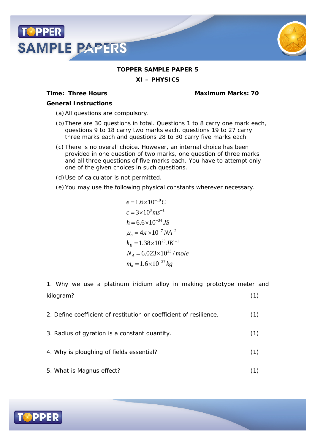



## **TOPPER SAMPLE PAPER 5**

**XI – PHYSICS**

**Time: Three Hours Maximum Marks: 70**

*General Instructions*

- (a)All questions are compulsory.
- (b)There are 30 questions in total. Questions 1 to 8 carry one mark each, questions 9 to 18 carry two marks each, questions 19 to 27 carry three marks each and questions 28 to 30 carry five marks each.
- (c) There is no overall choice. However, an internal choice has been provided in one question of two marks, one question of three marks and all three questions of five marks each. You have to attempt only one of the given choices in such questions.
- (d)Use of calculator is not permitted.
- (e)You may use the following physical constants wherever necessary.

$$
e = 1.6 \times 10^{-19} C
$$
  
\n
$$
c = 3 \times 10^{8} m s^{-1}
$$
  
\n
$$
h = 6.6 \times 10^{-34} JS
$$
  
\n
$$
\mu_o = 4 \pi \times 10^{-7} NA^{-2}
$$
  
\n
$$
k_B = 1.38 \times 10^{23} JK^{-1}
$$
  
\n
$$
N_A = 6.023 \times 10^{23} / mole
$$
  
\n
$$
m_n = 1.6 \times 10^{-27} kg
$$

1. Why we use a platinum iridium alloy in making prototype meter and kilogram? (1)

- 2. Define coefficient of restitution or coefficient of resilience. (1) 3. Radius of gyration is a constant quantity. (1)
- 4. Why is ploughing of fields essential? (1)
- 5. What is Magnus effect? (1)

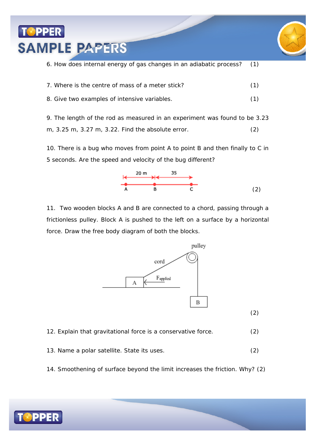

6. How does internal energy of gas changes in an adiabatic process? (1)

| 7. Where is the centre of mass of a meter stick? |  |
|--------------------------------------------------|--|
| 8. Give two examples of intensive variables.     |  |

9. The length of the rod as measured in an experiment was found to be 3.23 m, 3.25 m, 3.27 m, 3.22. Find the absolute error. (2)

10. There is a bug who moves from point A to point B and then finally to C in 5 seconds. Are the speed and velocity of the bug different?



11. Two wooden blocks A and B are connected to a chord, passing through a frictionless pulley. Block A is pushed to the left on a surface by a horizontal force. Draw the free body diagram of both the blocks.



12. Explain that gravitational force is a conservative force. (2)

- 13. Name a polar satellite. State its uses. (2)
- 14. Smoothening of surface beyond the limit increases the friction. Why? (2)

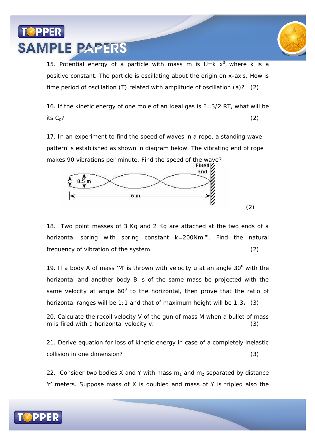## PPER **SAMPLE PAPERS**



15. Potential energy of a particle with mass m is  $U = k x<sup>3</sup>$ , where k is a positive constant. The particle is oscillating about the origin on x-axis. How is time period of oscillation (T) related with amplitude of oscillation (a)? (2)

16. If the kinetic energy of one mole of an ideal gas is  $E=3/2$  RT, what will be its  $C_p$ ? (2)

17. In an experiment to find the speed of waves in a rope, a standing wave pattern is established as shown in diagram below. The vibrating end of rope makes 90 vibrations per minute. Find the speed of the wave?<br>Fixed



18. Two point masses of 3 Kg and 2 Kg are attached at the two ends of a horizontal spring with spring constant  $k=200Nm^{-m}$ . Find the natural frequency of vibration of the system. (2)

19. If a body A of mass 'M' is thrown with velocity u at an angle  $30^{\circ}$  with the horizontal and another body B is of the same mass be projected with the same velocity at angle 60 $^{\circ}$  to the horizontal, then prove that the ratio of horizontal ranges will be 1:1 and that of maximum height will be 1:3**.** (3)

20. Calculate the recoil velocity V of the gun of mass M when a bullet of mass m is fired with a horizontal velocity v. (3)

21. Derive equation for loss of kinetic energy in case of a completely inelastic collision in one dimension? (3)

22. Consider two bodies X and Y with mass  $m_1$  and  $m_2$  separated by distance 'r' meters. Suppose mass of X is doubled and mass of Y is tripled also the

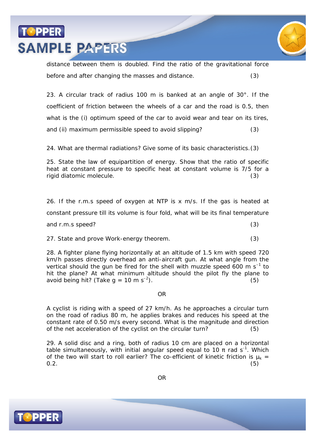



distance between them is doubled. Find the ratio of the gravitational force before and after changing the masses and distance. (3)

23. A circular track of radius 100 m is banked at an angle of 30°. If the coefficient of friction between the wheels of a car and the road is 0.5, then what is the (i) optimum speed of the car to avoid wear and tear on its tires, and (ii) maximum permissible speed to avoid slipping? (3)

24. What are thermal radiations? Give some of its basic characteristics.(3)

25. State the law of equipartition of energy. Show that the ratio of specific heat at constant pressure to specific heat at constant volume is 7/5 for a rigid diatomic molecule. (3)

26. If the r.m.s speed of oxygen at NTP is x m/s. If the gas is heated at constant pressure till its volume is four fold, what will be its final temperature and r.m.s speed? (3)

27. State and prove Work-energy theorem. (3)

28. A fighter plane flying horizontally at an altitude of 1.5 km with speed 720 km/h passes directly overhead an anti-aircraft gun. At what angle from the vertical should the gun be fired for the shell with muzzle speed 600 m s<sup>-1</sup> to hit the plane? At what minimum altitude should the pilot fly the plane to avoid being hit? (Take  $g = 10 \text{ m s}^{-2}$ ). ).  $(5)$ 

OR

A cyclist is riding with a speed of 27 km/h. As he approaches a circular turn on the road of radius 80 m, he applies brakes and reduces his speed at the constant rate of 0.50 m/s every second. What is the magnitude and direction of the net acceleration of the cyclist on the circular turn? (5)

29. A solid disc and a ring, both of radius 10 cm are placed on a horizontal table simultaneously, with initial angular speed equal to 10 *rad* s<sup>-1</sup>. Which of the two will start to roll earlier? The co-efficient of kinetic friction is  $\mu_k =$  $0.2.$  (5)